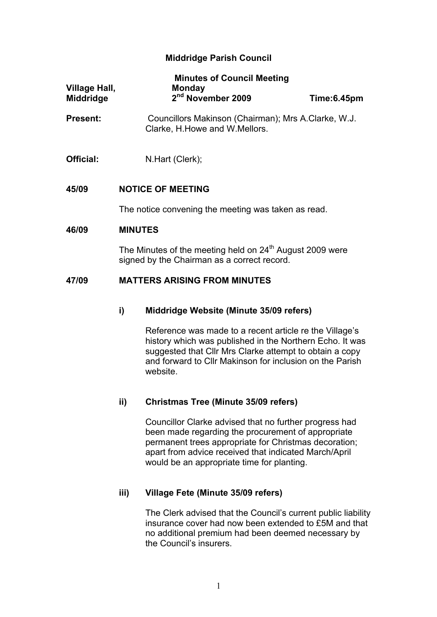## **Middridge Parish Council**

| Village Hall,<br>Middridge | <b>Minutes of Council Meeting</b><br><b>Monday</b><br>2 <sup>nd</sup> November 2009                       | Time:6.45pm |  |
|----------------------------|-----------------------------------------------------------------------------------------------------------|-------------|--|
| <b>Present:</b>            | Councillors Makinson (Chairman); Mrs A.Clarke, W.J.<br>Clarke, H. Howe and W. Mellors.                    |             |  |
| Official:                  | N.Hart (Clerk);                                                                                           |             |  |
| 45/09                      | <b>NOTICE OF MEETING</b>                                                                                  |             |  |
|                            | The notice convening the meeting was taken as read.                                                       |             |  |
| 46/09                      | <b>MINUTES</b>                                                                                            |             |  |
|                            | The Minutes of the meeting held on $24th$ August 2009 were<br>signed by the Chairman as a correct record. |             |  |
| 47/09                      | <b>MATTERS ARISING FROM MINUTES</b>                                                                       |             |  |
|                            | <b>Middridge Website (Minute 35/09 refers)</b><br>i)                                                      |             |  |

Reference was made to a recent article re the Village's history which was published in the Northern Echo. It was suggested that Cllr Mrs Clarke attempt to obtain a copy and forward to Cllr Makinson for inclusion on the Parish website.

# **ii) Christmas Tree (Minute 35/09 refers)**

Councillor Clarke advised that no further progress had been made regarding the procurement of appropriate permanent trees appropriate for Christmas decoration; apart from advice received that indicated March/April would be an appropriate time for planting.

# **iii) Village Fete (Minute 35/09 refers)**

The Clerk advised that the Council's current public liability insurance cover had now been extended to £5M and that no additional premium had been deemed necessary by the Council's insurers.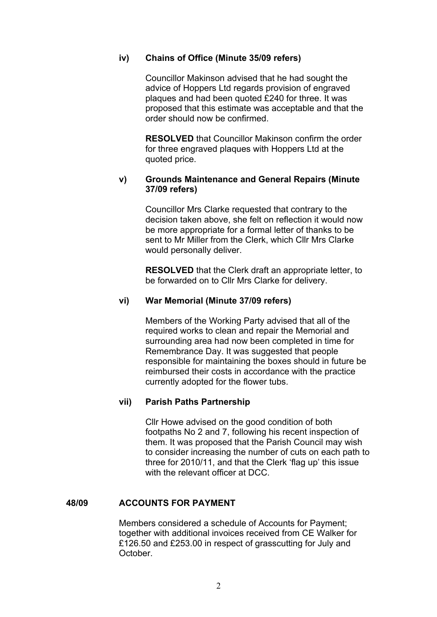### **iv) Chains of Office (Minute 35/09 refers)**

Councillor Makinson advised that he had sought the advice of Hoppers Ltd regards provision of engraved plaques and had been quoted £240 for three. It was proposed that this estimate was acceptable and that the order should now be confirmed.

**RESOLVED** that Councillor Makinson confirm the order for three engraved plaques with Hoppers Ltd at the quoted price.

### **v) Grounds Maintenance and General Repairs (Minute 37/09 refers)**

Councillor Mrs Clarke requested that contrary to the decision taken above, she felt on reflection it would now be more appropriate for a formal letter of thanks to be sent to Mr Miller from the Clerk, which Cllr Mrs Clarke would personally deliver.

**RESOLVED** that the Clerk draft an appropriate letter, to be forwarded on to Cllr Mrs Clarke for delivery.

### **vi) War Memorial (Minute 37/09 refers)**

Members of the Working Party advised that all of the required works to clean and repair the Memorial and surrounding area had now been completed in time for Remembrance Day. It was suggested that people responsible for maintaining the boxes should in future be reimbursed their costs in accordance with the practice currently adopted for the flower tubs.

# **vii) Parish Paths Partnership**

Cllr Howe advised on the good condition of both footpaths No 2 and 7, following his recent inspection of them. It was proposed that the Parish Council may wish to consider increasing the number of cuts on each path to three for 2010/11, and that the Clerk 'flag up' this issue with the relevant officer at DCC.

### **48/09 ACCOUNTS FOR PAYMENT**

Members considered a schedule of Accounts for Payment; together with additional invoices received from CE Walker for £126.50 and £253.00 in respect of grasscutting for July and October.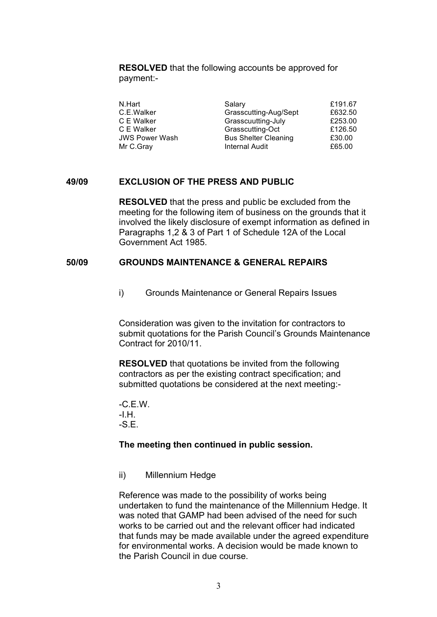**RESOLVED** that the following accounts be approved for payment:-

| N.Hart                | Salary                      | £191.67 |
|-----------------------|-----------------------------|---------|
| C.E.Walker            | Grasscutting-Aug/Sept       | £632.50 |
| C E Walker            | Grasscuutting-July          | £253.00 |
| C E Walker            | Grasscutting-Oct            | £126.50 |
| <b>JWS Power Wash</b> | <b>Bus Shelter Cleaning</b> | £30.00  |
| Mr C.Gray             | <b>Internal Audit</b>       | £65.00  |

#### **49/09 EXCLUSION OF THE PRESS AND PUBLIC**

**RESOLVED** that the press and public be excluded from the meeting for the following item of business on the grounds that it involved the likely disclosure of exempt information as defined in Paragraphs 1,2 & 3 of Part 1 of Schedule 12A of the Local Government Act 1985.

### **50/09 GROUNDS MAINTENANCE & GENERAL REPAIRS**

i) Grounds Maintenance or General Repairs Issues

Consideration was given to the invitation for contractors to submit quotations for the Parish Council's Grounds Maintenance Contract for 2010/11.

**RESOLVED** that quotations be invited from the following contractors as per the existing contract specification; and submitted quotations be considered at the next meeting:-

 $-C$ . F. W.  $-1H$ .  $-S F$ .

#### **The meeting then continued in public session.**

ii) Millennium Hedge

Reference was made to the possibility of works being undertaken to fund the maintenance of the Millennium Hedge. It was noted that GAMP had been advised of the need for such works to be carried out and the relevant officer had indicated that funds may be made available under the agreed expenditure for environmental works. A decision would be made known to the Parish Council in due course.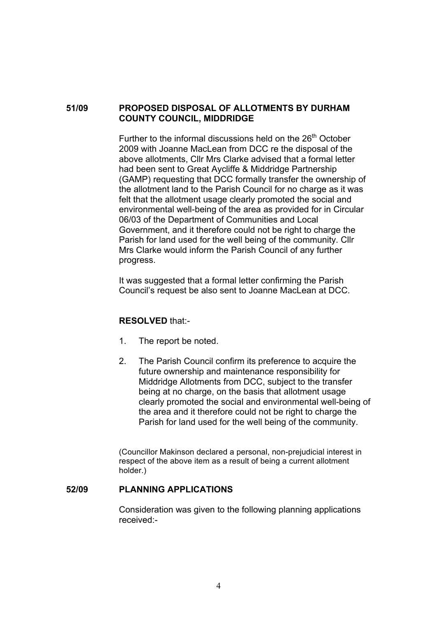### **51/09 PROPOSED DISPOSAL OF ALLOTMENTS BY DURHAM COUNTY COUNCIL, MIDDRIDGE**

Further to the informal discussions held on the  $26<sup>th</sup>$  October 2009 with Joanne MacLean from DCC re the disposal of the above allotments, Cllr Mrs Clarke advised that a formal letter had been sent to Great Aycliffe & Middridge Partnership (GAMP) requesting that DCC formally transfer the ownership of the allotment land to the Parish Council for no charge as it was felt that the allotment usage clearly promoted the social and environmental well-being of the area as provided for in Circular 06/03 of the Department of Communities and Local Government, and it therefore could not be right to charge the Parish for land used for the well being of the community. Cllr Mrs Clarke would inform the Parish Council of any further progress.

It was suggested that a formal letter confirming the Parish Council's request be also sent to Joanne MacLean at DCC.

#### **RESOLVED** that:-

- 1. The report be noted.
- 2. The Parish Council confirm its preference to acquire the future ownership and maintenance responsibility for Middridge Allotments from DCC, subject to the transfer being at no charge, on the basis that allotment usage clearly promoted the social and environmental well-being of the area and it therefore could not be right to charge the Parish for land used for the well being of the community.

(Councillor Makinson declared a personal, non-prejudicial interest in respect of the above item as a result of being a current allotment holder.)

#### **52/09 PLANNING APPLICATIONS**

Consideration was given to the following planning applications received:-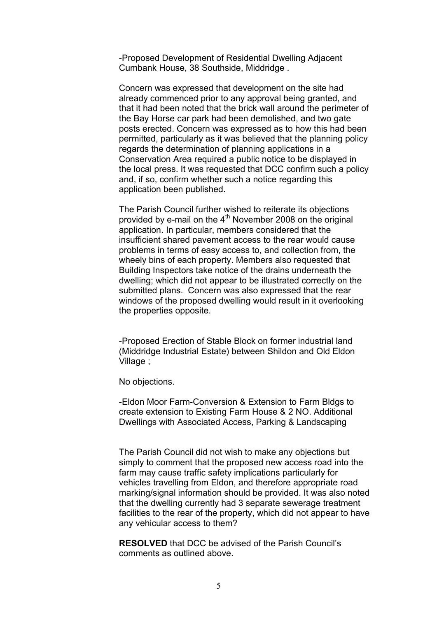-Proposed Development of Residential Dwelling Adjacent Cumbank House, 38 Southside, Middridge .

Concern was expressed that development on the site had already commenced prior to any approval being granted, and that it had been noted that the brick wall around the perimeter of the Bay Horse car park had been demolished, and two gate posts erected. Concern was expressed as to how this had been permitted, particularly as it was believed that the planning policy regards the determination of planning applications in a Conservation Area required a public notice to be displayed in the local press. It was requested that DCC confirm such a policy and, if so, confirm whether such a notice regarding this application been published.

The Parish Council further wished to reiterate its objections provided by e-mail on the  $4<sup>th</sup>$  November 2008 on the original application. In particular, members considered that the insufficient shared pavement access to the rear would cause problems in terms of easy access to, and collection from, the wheely bins of each property. Members also requested that Building Inspectors take notice of the drains underneath the dwelling; which did not appear to be illustrated correctly on the submitted plans. Concern was also expressed that the rear windows of the proposed dwelling would result in it overlooking the properties opposite.

-Proposed Erection of Stable Block on former industrial land (Middridge Industrial Estate) between Shildon and Old Eldon Village ;

No objections.

-Eldon Moor Farm-Conversion & Extension to Farm Bldgs to create extension to Existing Farm House & 2 NO. Additional Dwellings with Associated Access, Parking & Landscaping

The Parish Council did not wish to make any objections but simply to comment that the proposed new access road into the farm may cause traffic safety implications particularly for vehicles travelling from Eldon, and therefore appropriate road marking/signal information should be provided. It was also noted that the dwelling currently had 3 separate sewerage treatment facilities to the rear of the property, which did not appear to have any vehicular access to them?

**RESOLVED** that DCC be advised of the Parish Council's comments as outlined above.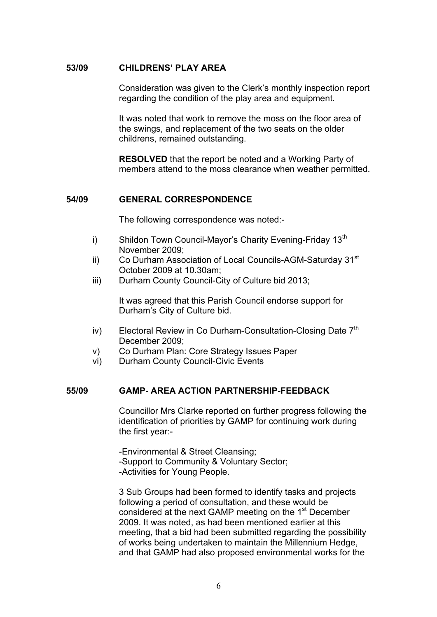#### **53/09 CHILDRENS' PLAY AREA**

Consideration was given to the Clerk's monthly inspection report regarding the condition of the play area and equipment.

It was noted that work to remove the moss on the floor area of the swings, and replacement of the two seats on the older childrens, remained outstanding.

**RESOLVED** that the report be noted and a Working Party of members attend to the moss clearance when weather permitted.

### **54/09 GENERAL CORRESPONDENCE**

The following correspondence was noted:-

- i) Shildon Town Council-Mayor's Charity Evening-Friday 13<sup>th</sup> November 2009;
- ii) Co Durham Association of Local Councils-AGM-Saturday 31<sup>st</sup> October 2009 at 10.30am;
- iii) Durham County Council-City of Culture bid 2013;

It was agreed that this Parish Council endorse support for Durham's City of Culture bid.

- iv) Electoral Review in Co Durham-Consultation-Closing Date  $7<sup>th</sup>$ December 2009;
- v) Co Durham Plan: Core Strategy Issues Paper
- vi) Durham County Council-Civic Events

# **55/09 GAMP- AREA ACTION PARTNERSHIP-FEEDBACK**

Councillor Mrs Clarke reported on further progress following the identification of priorities by GAMP for continuing work during the first year:-

-Environmental & Street Cleansing;

-Support to Community & Voluntary Sector;

-Activities for Young People.

3 Sub Groups had been formed to identify tasks and projects following a period of consultation, and these would be considered at the next GAMP meeting on the 1<sup>st</sup> December 2009. It was noted, as had been mentioned earlier at this meeting, that a bid had been submitted regarding the possibility of works being undertaken to maintain the Millennium Hedge, and that GAMP had also proposed environmental works for the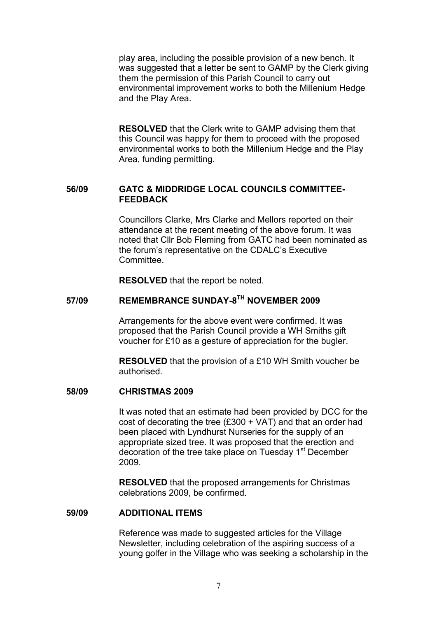play area, including the possible provision of a new bench. It was suggested that a letter be sent to GAMP by the Clerk giving them the permission of this Parish Council to carry out environmental improvement works to both the Millenium Hedge and the Play Area.

**RESOLVED** that the Clerk write to GAMP advising them that this Council was happy for them to proceed with the proposed environmental works to both the Millenium Hedge and the Play Area, funding permitting.

### **56/09 GATC & MIDDRIDGE LOCAL COUNCILS COMMITTEE-FEEDBACK**

Councillors Clarke, Mrs Clarke and Mellors reported on their attendance at the recent meeting of the above forum. It was noted that Cllr Bob Fleming from GATC had been nominated as the forum's representative on the CDALC's Executive **Committee.** 

**RESOLVED** that the report be noted.

## **57/09 REMEMBRANCE SUNDAY-8TH NOVEMBER 2009**

Arrangements for the above event were confirmed. It was proposed that the Parish Council provide a WH Smiths gift voucher for £10 as a gesture of appreciation for the bugler.

**RESOLVED** that the provision of a £10 WH Smith voucher be authorised.

#### **58/09 CHRISTMAS 2009**

It was noted that an estimate had been provided by DCC for the cost of decorating the tree (£300 + VAT) and that an order had been placed with Lyndhurst Nurseries for the supply of an appropriate sized tree. It was proposed that the erection and decoration of the tree take place on Tuesday  $1<sup>st</sup>$  December 2009.

**RESOLVED** that the proposed arrangements for Christmas celebrations 2009, be confirmed.

#### **59/09 ADDITIONAL ITEMS**

Reference was made to suggested articles for the Village Newsletter, including celebration of the aspiring success of a young golfer in the Village who was seeking a scholarship in the